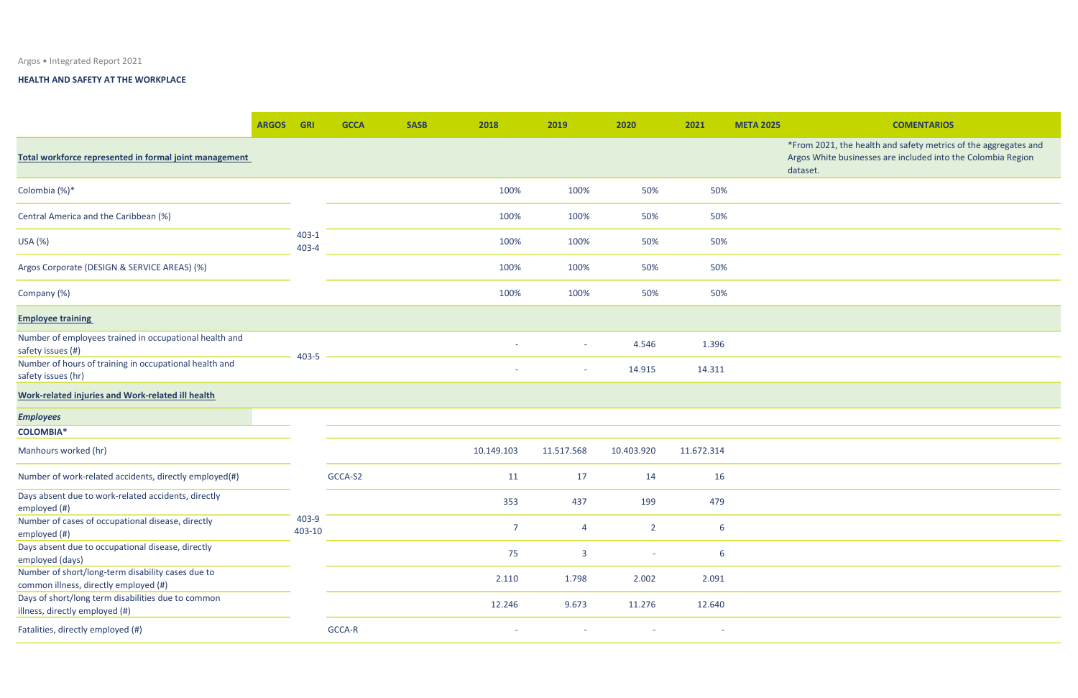Argos • Integrated Report 2021

\*From 2021, the health and safety metrics of the aggregates and Argos White businesses are included into the Colombia Region dataset.

|                                                                                            | <b>ARGOS</b> | <b>GRI</b>             | <b>GCCA</b> | <b>SASB</b> | 2018           | 2019                     | 2020           | 2021       | <b>META 2025</b> | <b>COMENTARIOS</b>                                                                                  |
|--------------------------------------------------------------------------------------------|--------------|------------------------|-------------|-------------|----------------|--------------------------|----------------|------------|------------------|-----------------------------------------------------------------------------------------------------|
| Total workforce represented in formal joint management                                     |              |                        |             |             |                |                          |                |            |                  | *From 2021, the health and safety metrics<br>Argos White businesses are included into t<br>dataset. |
| Colombia (%)*                                                                              |              |                        |             |             | 100%           | 100%                     | 50%            | 50%        |                  |                                                                                                     |
| Central America and the Caribbean (%)                                                      |              |                        |             |             | 100%           | 100%                     | 50%            | 50%        |                  |                                                                                                     |
| USA (%)                                                                                    |              | $403 - 1$<br>$403 - 4$ |             |             | 100%           | 100%                     | 50%            | 50%        |                  |                                                                                                     |
| Argos Corporate (DESIGN & SERVICE AREAS) (%)                                               |              |                        |             |             | 100%           | 100%                     | 50%            | 50%        |                  |                                                                                                     |
| Company (%)                                                                                |              |                        |             |             | 100%           | 100%                     | 50%            | 50%        |                  |                                                                                                     |
| <b>Employee training</b>                                                                   |              |                        |             |             |                |                          |                |            |                  |                                                                                                     |
| Number of employees trained in occupational health and<br>safety issues (#)                |              |                        |             |             |                |                          | 4.546          | 1.396      |                  |                                                                                                     |
| Number of hours of training in occupational health and<br>safety issues (hr)               |              | 403-5                  |             |             |                | $\overline{\phantom{a}}$ | 14.915         | 14.311     |                  |                                                                                                     |
| Work-related injuries and Work-related ill health                                          |              |                        |             |             |                |                          |                |            |                  |                                                                                                     |
| <b>Employees</b>                                                                           |              |                        |             |             |                |                          |                |            |                  |                                                                                                     |
| <b>COLOMBIA*</b>                                                                           |              |                        |             |             |                |                          |                |            |                  |                                                                                                     |
| Manhours worked (hr)                                                                       |              |                        |             |             | 10.149.103     | 11.517.568               | 10.403.920     | 11.672.314 |                  |                                                                                                     |
| Number of work-related accidents, directly employed(#)                                     |              |                        | GCCA-S2     |             | 11             | 17                       | 14             | 16         |                  |                                                                                                     |
| Days absent due to work-related accidents, directly<br>employed (#)                        |              |                        |             |             | 353            | 437                      | 199            | 479        |                  |                                                                                                     |
| Number of cases of occupational disease, directly<br>employed (#)                          |              | 403-9<br>403-10        |             |             | $\overline{7}$ | 4                        | $\overline{2}$ | 6          |                  |                                                                                                     |
| Days absent due to occupational disease, directly<br>employed (days)                       |              |                        |             |             | 75             | $\overline{3}$           | $\sim$         | 6          |                  |                                                                                                     |
| Number of short/long-term disability cases due to<br>common illness, directly employed (#) |              |                        |             |             | 2.110          | 1.798                    | 2.002          | 2.091      |                  |                                                                                                     |
| Days of short/long term disabilities due to common<br>illness, directly employed (#)       |              |                        |             |             | 12.246         | 9.673                    | 11.276         | 12.640     |                  |                                                                                                     |
| Fatalities, directly employed (#)                                                          |              |                        | GCCA-R      |             |                | $\overline{\phantom{a}}$ |                |            |                  |                                                                                                     |

## HEALTH AND SAFETY AT THE WORKPLACE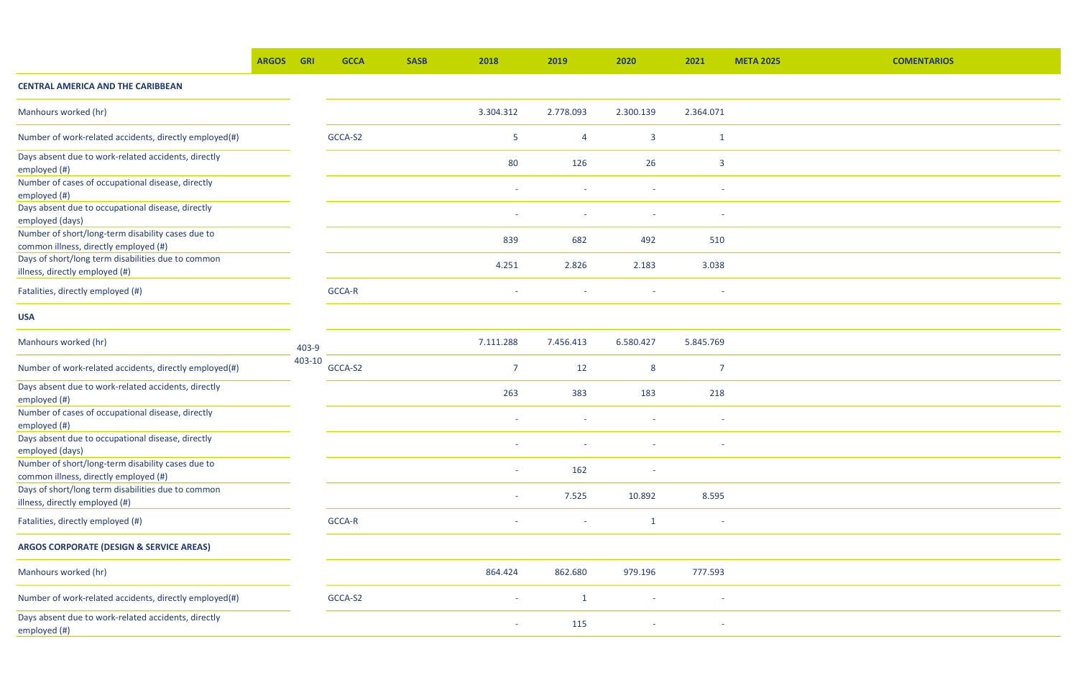|                                                                                            | <b>ARGOS</b> | <b>GRI</b> | <b>GCCA</b> | <b>SASB</b> | 2018           | 2019           | 2020                     | 2021                     | <b>META 2025</b> | <b>COMENTARIOS</b> |
|--------------------------------------------------------------------------------------------|--------------|------------|-------------|-------------|----------------|----------------|--------------------------|--------------------------|------------------|--------------------|
| <b>CENTRAL AMERICA AND THE CARIBBEAN</b>                                                   |              |            |             |             |                |                |                          |                          |                  |                    |
| Manhours worked (hr)                                                                       |              |            |             |             | 3.304.312      | 2.778.093      | 2.300.139                | 2.364.071                |                  |                    |
| Number of work-related accidents, directly employed(#)                                     |              |            | GCCA-S2     |             | 5              | $\overline{a}$ | $\overline{3}$           | $\mathbf{1}$             |                  |                    |
| Days absent due to work-related accidents, directly<br>employed (#)                        |              |            |             |             | 80             | 126            | 26                       | $\overline{3}$           |                  |                    |
| Number of cases of occupational disease, directly<br>employed (#)                          |              |            |             |             |                |                | $\sim$                   | $\overline{\phantom{a}}$ |                  |                    |
| Days absent due to occupational disease, directly<br>employed (days)                       |              |            |             |             |                |                |                          |                          |                  |                    |
| Number of short/long-term disability cases due to<br>common illness, directly employed (#) |              |            |             |             | 839            | 682            | 492                      | 510                      |                  |                    |
| Days of short/long term disabilities due to common<br>illness, directly employed (#)       |              |            |             |             | 4.251          | 2.826          | 2.183                    | 3.038                    |                  |                    |
| Fatalities, directly employed (#)                                                          |              |            | GCCA-R      |             |                |                |                          |                          |                  |                    |
| <b>USA</b>                                                                                 |              |            |             |             |                |                |                          |                          |                  |                    |
| Manhours worked (hr)                                                                       |              | 403-9      |             |             | 7.111.288      | 7.456.413      | 6.580.427                | 5.845.769                |                  |                    |
| Number of work-related accidents, directly employed(#)                                     |              | 403-10     | GCCA-S2     |             | $\overline{7}$ | 12             | 8                        | $\overline{7}$           |                  |                    |
| Days absent due to work-related accidents, directly<br>employed (#)                        |              |            |             |             | 263            | 383            | 183                      | 218                      |                  |                    |
| Number of cases of occupational disease, directly<br>employed (#)                          |              |            |             |             |                |                | $\overline{\phantom{a}}$ | $\sim$                   |                  |                    |
| Days absent due to occupational disease, directly<br>employed (days)                       |              |            |             |             |                |                |                          |                          |                  |                    |
| Number of short/long-term disability cases due to<br>common illness, directly employed (#) |              |            |             |             |                | 162            | $\sim$                   |                          |                  |                    |
| Days of short/long term disabilities due to common<br>illness, directly employed (#)       |              |            |             |             | $\sim$         | 7.525          | 10.892                   | 8.595                    |                  |                    |
| Fatalities, directly employed (#)                                                          |              |            | GCCA-R      |             |                |                | $\mathbf{1}$             | $\overline{\phantom{a}}$ |                  |                    |
| <b>ARGOS CORPORATE (DESIGN &amp; SERVICE AREAS)</b>                                        |              |            |             |             |                |                |                          |                          |                  |                    |
| Manhours worked (hr)                                                                       |              |            |             |             | 864.424        | 862.680        | 979.196                  | 777.593                  |                  |                    |
| Number of work-related accidents, directly employed(#)                                     |              |            | GCCA-S2     |             |                | $\mathbf{1}$   | $\sim$                   |                          |                  |                    |
| Days absent due to work-related accidents, directly<br>employed (#)                        |              |            |             |             | $\sim$         | 115            | $\sim$                   | $\sim$                   |                  |                    |

| <b>COMENTARIOS</b> |  |
|--------------------|--|
|                    |  |
|                    |  |
|                    |  |
|                    |  |
|                    |  |
|                    |  |
|                    |  |
|                    |  |
|                    |  |
|                    |  |
|                    |  |
|                    |  |
|                    |  |
|                    |  |
|                    |  |
|                    |  |
|                    |  |
|                    |  |
|                    |  |
|                    |  |
|                    |  |
|                    |  |
|                    |  |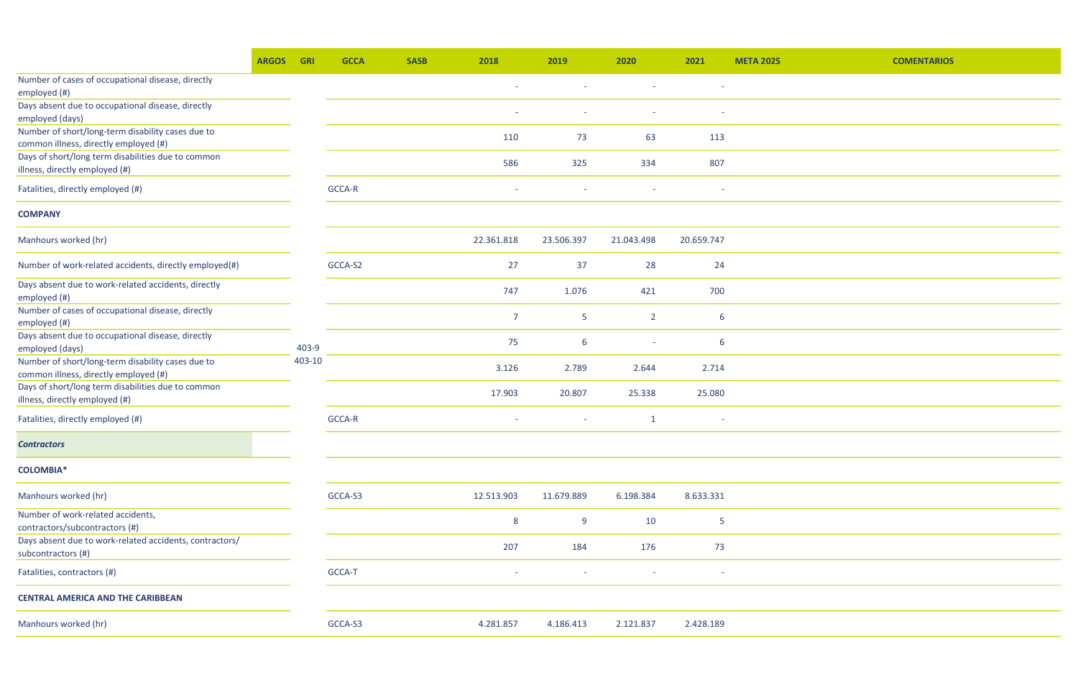|                                                                               | <b>ARGOS</b> | <b>GRI</b> | <b>GCCA</b> | <b>SASB</b> | 2018           | 2019                     | 2020                     | 2021                     | <b>META 2025</b> | <b>COMENTARIOS</b> |
|-------------------------------------------------------------------------------|--------------|------------|-------------|-------------|----------------|--------------------------|--------------------------|--------------------------|------------------|--------------------|
| Number of cases of occupational disease, directly                             |              |            |             |             | $\sim$         | $\sim$                   | $\sim$                   | $\sim$                   |                  |                    |
| employed (#)                                                                  |              |            |             |             |                |                          |                          |                          |                  |                    |
| Days absent due to occupational disease, directly                             |              |            |             |             |                | $\overline{\phantom{a}}$ | $\sim$                   | $\sim$                   |                  |                    |
| employed (days)                                                               |              |            |             |             |                |                          |                          |                          |                  |                    |
| Number of short/long-term disability cases due to                             |              |            |             |             |                |                          |                          |                          |                  |                    |
| common illness, directly employed (#)                                         |              |            |             |             | 110            | 73                       | 63                       | 113                      |                  |                    |
| Days of short/long term disabilities due to common                            |              |            |             |             |                |                          |                          |                          |                  |                    |
| illness, directly employed (#)                                                |              |            |             |             | 586            | 325                      | 334                      | 807                      |                  |                    |
| Fatalities, directly employed (#)                                             |              |            | GCCA-R      |             |                |                          |                          | $\overline{\phantom{a}}$ |                  |                    |
| <b>COMPANY</b>                                                                |              |            |             |             |                |                          |                          |                          |                  |                    |
| Manhours worked (hr)                                                          |              |            |             |             | 22.361.818     | 23.506.397               | 21.043.498               | 20.659.747               |                  |                    |
| Number of work-related accidents, directly employed(#)                        |              |            | GCCA-S2     |             | 27             | 37                       | 28                       | 24                       |                  |                    |
| Days absent due to work-related accidents, directly<br>employed (#)           |              |            |             |             | 747            | 1.076                    | 421                      | 700                      |                  |                    |
| Number of cases of occupational disease, directly                             |              |            |             |             |                |                          |                          |                          |                  |                    |
| employed (#)                                                                  |              |            |             |             | $\overline{7}$ | 5                        | $\overline{2}$           | 6                        |                  |                    |
| Days absent due to occupational disease, directly                             |              |            |             |             |                |                          |                          |                          |                  |                    |
| employed (days)                                                               |              | 403-9      |             |             | 75             | 6                        | $\overline{\phantom{a}}$ | 6                        |                  |                    |
| Number of short/long-term disability cases due to                             |              | 403-10     |             |             |                |                          |                          |                          |                  |                    |
| common illness, directly employed (#)                                         |              |            |             |             | 3.126          | 2.789                    | 2.644                    | 2.714                    |                  |                    |
| Days of short/long term disabilities due to common                            |              |            |             |             |                |                          |                          |                          |                  |                    |
| illness, directly employed (#)                                                |              |            |             |             | 17.903         | 20.807                   | 25.338                   | 25.080                   |                  |                    |
| Fatalities, directly employed (#)                                             |              |            | GCCA-R      |             |                | $\overline{\phantom{a}}$ | $\mathbf{1}$             |                          |                  |                    |
| <b>Contractors</b>                                                            |              |            |             |             |                |                          |                          |                          |                  |                    |
| <b>COLOMBIA*</b>                                                              |              |            |             |             |                |                          |                          |                          |                  |                    |
| Manhours worked (hr)                                                          |              |            | GCCA-S3     |             | 12.513.903     | 11.679.889               | 6.198.384                | 8.633.331                |                  |                    |
| Number of work-related accidents,<br>contractors/subcontractors(#)            |              |            |             |             | 8              | 9                        | 10                       | 5                        |                  |                    |
| Days absent due to work-related accidents, contractors/<br>subcontractors (#) |              |            |             |             | 207            | 184                      | 176                      | 73                       |                  |                    |
| Fatalities, contractors (#)                                                   |              |            | GCCA-T      |             |                |                          | $\overline{\phantom{a}}$ | $\overline{\phantom{a}}$ |                  |                    |
| <b>CENTRAL AMERICA AND THE CARIBBEAN</b>                                      |              |            |             |             |                |                          |                          |                          |                  |                    |
| Manhours worked (hr)                                                          |              |            | GCCA-S3     |             | 4.281.857      | 4.186.413                | 2.121.837                | 2.428.189                |                  |                    |

| <b>COMENTARIOS</b> |  |
|--------------------|--|
|                    |  |
|                    |  |
|                    |  |
|                    |  |
|                    |  |
|                    |  |
|                    |  |
|                    |  |
|                    |  |
|                    |  |
|                    |  |
|                    |  |
|                    |  |
|                    |  |
|                    |  |
|                    |  |
|                    |  |
|                    |  |
|                    |  |
|                    |  |
|                    |  |
|                    |  |
|                    |  |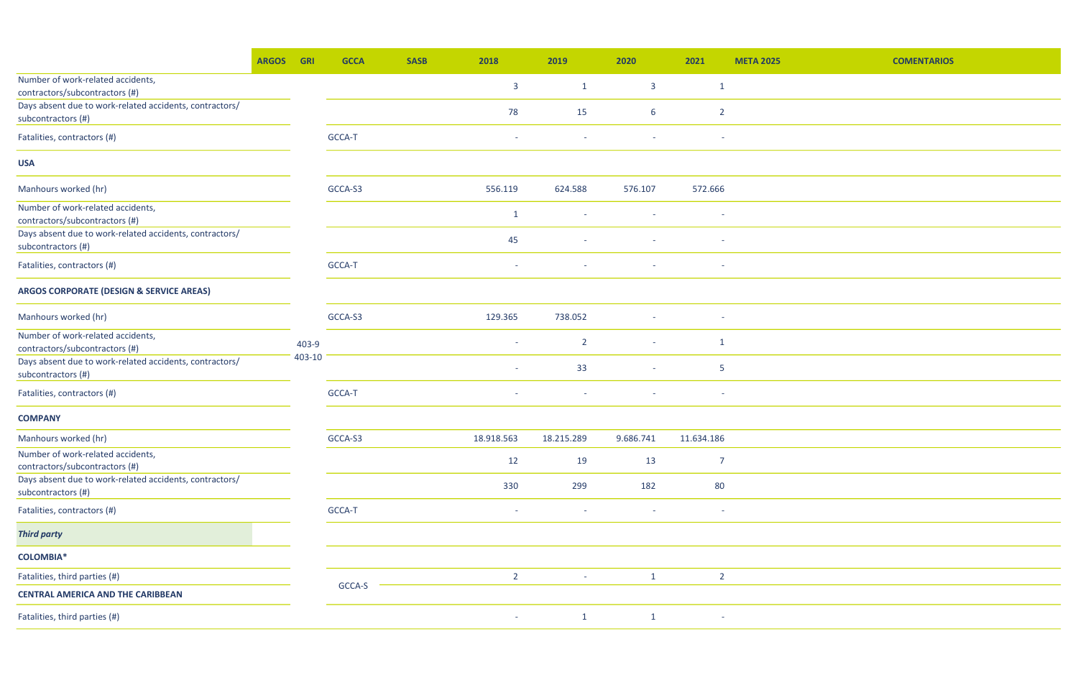|                                                                               | <b>ARGOS</b> | <b>GRI</b> | <b>GCCA</b> | <b>SASB</b> | 2018           | 2019           | 2020           | 2021            | <b>META 2025</b> | <b>COMENTARIOS</b> |
|-------------------------------------------------------------------------------|--------------|------------|-------------|-------------|----------------|----------------|----------------|-----------------|------------------|--------------------|
| Number of work-related accidents,<br>contractors/subcontractors(#)            |              |            |             |             | $\overline{3}$ | $\mathbf{1}$   | $\overline{3}$ | $\mathbf{1}$    |                  |                    |
| Days absent due to work-related accidents, contractors/<br>subcontractors (#) |              |            |             |             | 78             | 15             | 6              | $\overline{2}$  |                  |                    |
| Fatalities, contractors (#)                                                   |              |            | GCCA-T      |             |                |                | $\sim$         |                 |                  |                    |
| <b>USA</b>                                                                    |              |            |             |             |                |                |                |                 |                  |                    |
| Manhours worked (hr)                                                          |              |            | GCCA-S3     |             | 556.119        | 624.588        | 576.107        | 572.666         |                  |                    |
| Number of work-related accidents,<br>contractors/subcontractors(#)            |              |            |             |             | $\mathbf{1}$   | $\sim$         | $\sim$         | $\sim$          |                  |                    |
| Days absent due to work-related accidents, contractors/<br>subcontractors (#) |              |            |             |             | 45             |                | $\sim$         | $\sim$          |                  |                    |
| Fatalities, contractors (#)                                                   |              |            | GCCA-T      |             |                |                | $\sim$         | $\sim$          |                  |                    |
| <b>ARGOS CORPORATE (DESIGN &amp; SERVICE AREAS)</b>                           |              |            |             |             |                |                |                |                 |                  |                    |
| Manhours worked (hr)                                                          |              |            | GCCA-S3     |             | 129.365        | 738.052        | $\sim$         | $\sim$          |                  |                    |
| Number of work-related accidents,<br>contractors/subcontractors(#)            |              | 403-9      |             |             |                | $\overline{2}$ | $\sim$         | $\mathbf{1}$    |                  |                    |
| Days absent due to work-related accidents, contractors/<br>subcontractors (#) |              | 403-10     |             |             | $\sim$         | 33             | $\sim$         | $5\phantom{.0}$ |                  |                    |
| Fatalities, contractors (#)                                                   |              |            | GCCA-T      |             |                |                | $\sim$         | $\sim$          |                  |                    |
| <b>COMPANY</b>                                                                |              |            |             |             |                |                |                |                 |                  |                    |
| Manhours worked (hr)                                                          |              |            | GCCA-S3     |             | 18.918.563     | 18.215.289     | 9.686.741      | 11.634.186      |                  |                    |
| Number of work-related accidents,<br>contractors/subcontractors(#)            |              |            |             |             | 12             | 19             | 13             | $\overline{7}$  |                  |                    |
| Days absent due to work-related accidents, contractors/<br>subcontractors (#) |              |            |             |             | 330            | 299            | 182            | 80              |                  |                    |
| Fatalities, contractors (#)                                                   |              |            | GCCA-T      |             | $\sim$ .       | $\sim$         | $\sim$ .       | $\sim$          |                  |                    |
| <b>Third party</b>                                                            |              |            |             |             |                |                |                |                 |                  |                    |
| <b>COLOMBIA*</b>                                                              |              |            |             |             |                |                |                |                 |                  |                    |
| Fatalities, third parties (#)                                                 |              |            |             |             | $\overline{2}$ | $\sim$         | $\mathbf{1}$   | $\overline{2}$  |                  |                    |
| <b>CENTRAL AMERICA AND THE CARIBBEAN</b>                                      |              |            | GCCA-S      |             |                |                |                |                 |                  |                    |
| Fatalities, third parties (#)                                                 |              |            |             |             | $\sim$ .       | $\mathbf{1}$   | $\mathbf{1}$   | $\sim$          |                  |                    |

| 25 | <b>COMENTARIOS</b> |
|----|--------------------|
|    |                    |
|    |                    |
|    |                    |
|    |                    |
|    |                    |
|    |                    |
|    |                    |
|    |                    |
|    |                    |
|    |                    |
|    |                    |
|    |                    |
|    |                    |
|    |                    |
|    |                    |
|    |                    |
|    |                    |
|    |                    |
|    |                    |
|    |                    |
|    |                    |
|    |                    |
|    |                    |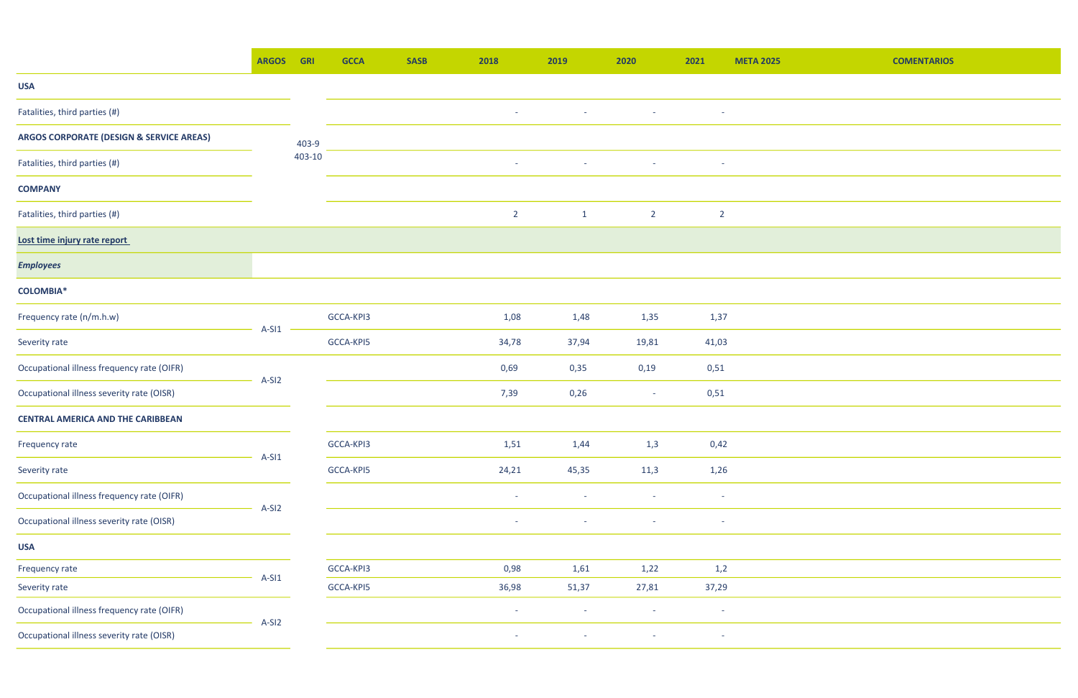|                                            | <b>ARGOS</b> | <b>GRI</b> | <b>GCCA</b> | <b>SASB</b> | 2018                     | 2019         | 2020                     | 2021           | <b>META 2025</b> | <b>COMENTARIOS</b> |
|--------------------------------------------|--------------|------------|-------------|-------------|--------------------------|--------------|--------------------------|----------------|------------------|--------------------|
| <b>USA</b>                                 |              |            |             |             |                          |              |                          |                |                  |                    |
| Fatalities, third parties (#)              |              |            |             |             | $\sim$                   | $\sim$       | $\sim$                   | $\sim$         |                  |                    |
| ARGOS CORPORATE (DESIGN & SERVICE AREAS)   |              | 403-9      |             |             |                          |              |                          |                |                  |                    |
| Fatalities, third parties (#)              |              | 403-10     |             |             | $\sim$                   | $\sim$ .     | $\sim$                   | $\sim$         |                  |                    |
| <b>COMPANY</b>                             |              |            |             |             |                          |              |                          |                |                  |                    |
| Fatalities, third parties (#)              |              |            |             |             | $2^{\circ}$              | $\mathbf{1}$ | $\overline{2}$           | $\overline{2}$ |                  |                    |
| Lost time injury rate report               |              |            |             |             |                          |              |                          |                |                  |                    |
| <b>Employees</b>                           |              |            |             |             |                          |              |                          |                |                  |                    |
| <b>COLOMBIA*</b>                           |              |            |             |             |                          |              |                          |                |                  |                    |
| Frequency rate (n/m.h.w)                   |              |            | GCCA-KPI3   |             | 1,08                     | 1,48         | 1,35                     | 1,37           |                  |                    |
| Severity rate                              | $A-SI1$      |            | GCCA-KPI5   |             | 34,78                    | 37,94        | 19,81                    | 41,03          |                  |                    |
| Occupational illness frequency rate (OIFR) |              |            |             |             | 0,69                     | 0,35         | 0,19                     | 0,51           |                  |                    |
| Occupational illness severity rate (OISR)  | A-SI2        |            |             |             | 7,39                     | 0,26         | $\overline{\phantom{a}}$ | 0,51           |                  |                    |
| <b>CENTRAL AMERICA AND THE CARIBBEAN</b>   |              |            |             |             |                          |              |                          |                |                  |                    |
| Frequency rate                             |              |            | GCCA-KPI3   |             | 1,51                     | 1,44         | 1,3                      | 0,42           |                  |                    |
| Severity rate                              | $A-SI1$      |            | GCCA-KPI5   |             | 24,21                    | 45,35        | 11,3                     | 1,26           |                  |                    |
| Occupational illness frequency rate (OIFR) |              |            |             |             | $\overline{\phantom{0}}$ | $\sim$       | $\sim$                   | $\sim$         |                  |                    |
| Occupational illness severity rate (OISR)  | A-SI2        |            |             |             | $\sim$                   | $\sim$       | $\sim$                   | $\sim$         |                  |                    |
| <b>USA</b>                                 |              |            |             |             |                          |              |                          |                |                  |                    |
| Frequency rate                             |              |            | GCCA-KPI3   |             | 0,98                     | 1,61         | 1,22                     | 1,2            |                  |                    |
| Severity rate                              | $A-SI1$      |            | GCCA-KPI5   |             | 36,98                    | 51,37        | 27,81                    | 37,29          |                  |                    |
| Occupational illness frequency rate (OIFR) |              |            |             |             |                          |              | $\overline{\phantom{a}}$ | $\sim$         |                  |                    |
| Occupational illness severity rate (OISR)  | A-SI2        |            |             |             |                          |              | $\sim$                   | $\sim$         |                  |                    |
|                                            |              |            |             |             |                          |              |                          |                |                  |                    |

| <b>COMENTARIOS</b> |
|--------------------|
|                    |
|                    |
|                    |
|                    |
|                    |
|                    |
|                    |
|                    |
|                    |
|                    |
|                    |
|                    |
|                    |
|                    |
|                    |
|                    |
|                    |
|                    |
|                    |
|                    |
|                    |
|                    |
|                    |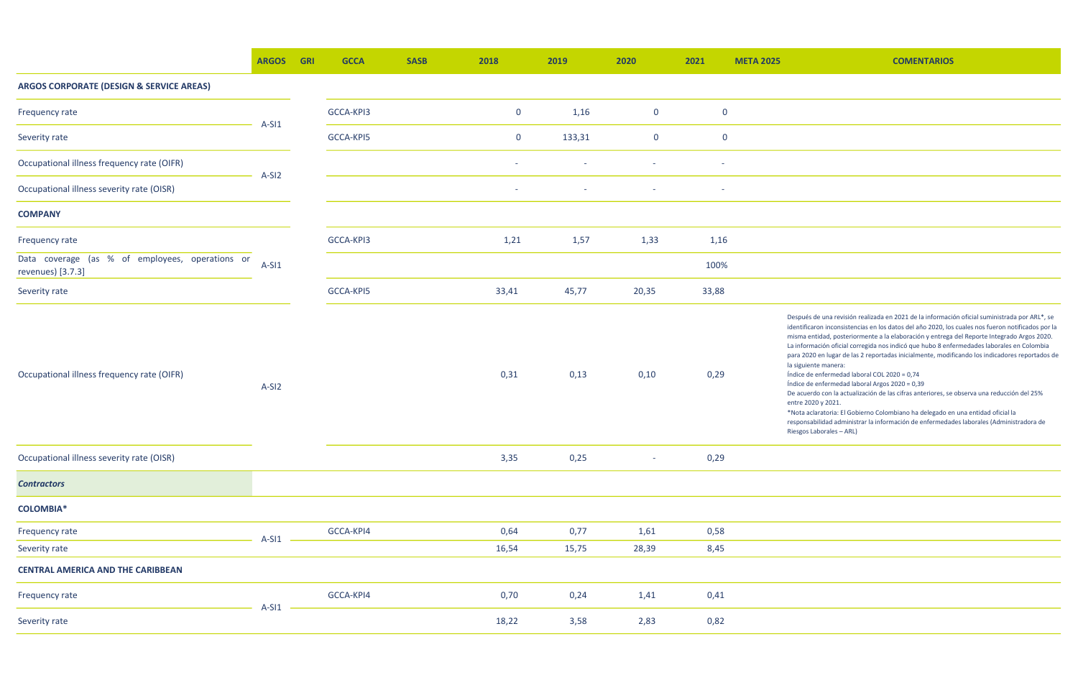Después de una revisión realizada en 2021 de la información oficial suministrada por ARL\*, se dentificaron inconsistencias en los datos del año 2020, los cuales nos fueron notificados por la misma entidad, posteriormente a la elaboración y entrega del Reporte Integrado Argos 2020. La información oficial corregida nos indicó que hubo 8 enfermedades laborales en Colombia para 2020 en lugar de las 2 reportadas inicialmente, modificando los indicadores reportados de a siguiente manera:

|                                                                      | <b>ARGOS</b> | <b>GRI</b> | <b>GCCA</b> | <b>SASB</b> | 2018        | 2019                     | 2020           | 2021        | <b>META 2025</b> | <b>COMENTARIOS</b>                                                                                                                                                                                                                                                                                                                                                                                                                                                                                                                                                                                                                                                                       |
|----------------------------------------------------------------------|--------------|------------|-------------|-------------|-------------|--------------------------|----------------|-------------|------------------|------------------------------------------------------------------------------------------------------------------------------------------------------------------------------------------------------------------------------------------------------------------------------------------------------------------------------------------------------------------------------------------------------------------------------------------------------------------------------------------------------------------------------------------------------------------------------------------------------------------------------------------------------------------------------------------|
| ARGOS CORPORATE (DESIGN & SERVICE AREAS)                             |              |            |             |             |             |                          |                |             |                  |                                                                                                                                                                                                                                                                                                                                                                                                                                                                                                                                                                                                                                                                                          |
| Frequency rate                                                       |              |            | GCCA-KPI3   |             | $\mathbf 0$ | 1,16                     | $\overline{0}$ | $\mathbf 0$ |                  |                                                                                                                                                                                                                                                                                                                                                                                                                                                                                                                                                                                                                                                                                          |
| Severity rate                                                        | $A-SI1$      |            | GCCA-KPI5   |             | 0           | 133,31                   | $\mathbf 0$    | $\mathbf 0$ |                  |                                                                                                                                                                                                                                                                                                                                                                                                                                                                                                                                                                                                                                                                                          |
| Occupational illness frequency rate (OIFR)                           |              |            |             |             |             |                          |                |             |                  |                                                                                                                                                                                                                                                                                                                                                                                                                                                                                                                                                                                                                                                                                          |
| Occupational illness severity rate (OISR)                            | $A-SI2$      |            |             |             | $\sim$      | $\overline{\phantom{a}}$ | $\sim$         | $\sim$      |                  |                                                                                                                                                                                                                                                                                                                                                                                                                                                                                                                                                                                                                                                                                          |
| <b>COMPANY</b>                                                       |              |            |             |             |             |                          |                |             |                  |                                                                                                                                                                                                                                                                                                                                                                                                                                                                                                                                                                                                                                                                                          |
| Frequency rate                                                       |              |            | GCCA-KPI3   |             | 1,21        | 1,57                     | 1,33           | 1,16        |                  |                                                                                                                                                                                                                                                                                                                                                                                                                                                                                                                                                                                                                                                                                          |
| Data coverage (as % of employees, operations or<br>revenues) [3.7.3] | $A-SI1$      |            |             |             |             |                          |                | 100%        |                  |                                                                                                                                                                                                                                                                                                                                                                                                                                                                                                                                                                                                                                                                                          |
| Severity rate                                                        |              |            | GCCA-KPI5   |             | 33,41       | 45,77                    | 20,35          | 33,88       |                  |                                                                                                                                                                                                                                                                                                                                                                                                                                                                                                                                                                                                                                                                                          |
| Occupational illness frequency rate (OIFR)                           | $A-SI2$      |            |             |             | 0,31        | 0,13                     | 0,10           | 0,29        |                  | Después de una revisión realizada en 2021 de la informació<br>identificaron inconsistencias en los datos del año 2020, los<br>misma entidad, posteriormente a la elaboración y entrega<br>La información oficial corregida nos indicó que hubo 8 enfe<br>para 2020 en lugar de las 2 reportadas inicialmente, modifi<br>la siguiente manera:<br>Índice de enfermedad laboral COL 2020 = 0,74<br>Índice de enfermedad laboral Argos 2020 = 0,39<br>De acuerdo con la actualización de las cifras anteriores, se<br>entre 2020 y 2021.<br>*Nota aclaratoria: El Gobierno Colombiano ha delegado en<br>responsabilidad administrar la información de enfermedad<br>Riesgos Laborales - ARL) |
| Occupational illness severity rate (OISR)                            |              |            |             |             | 3,35        | 0,25                     | $\sim$         | 0,29        |                  |                                                                                                                                                                                                                                                                                                                                                                                                                                                                                                                                                                                                                                                                                          |
| <b>Contractors</b>                                                   |              |            |             |             |             |                          |                |             |                  |                                                                                                                                                                                                                                                                                                                                                                                                                                                                                                                                                                                                                                                                                          |
| <b>COLOMBIA*</b>                                                     |              |            |             |             |             |                          |                |             |                  |                                                                                                                                                                                                                                                                                                                                                                                                                                                                                                                                                                                                                                                                                          |
| Frequency rate                                                       |              |            | GCCA-KPI4   |             | 0,64        | 0,77                     | 1,61           | 0,58        |                  |                                                                                                                                                                                                                                                                                                                                                                                                                                                                                                                                                                                                                                                                                          |
| Severity rate                                                        | $A-SI1$      |            |             |             | 16,54       | 15,75                    | 28,39          | 8,45        |                  |                                                                                                                                                                                                                                                                                                                                                                                                                                                                                                                                                                                                                                                                                          |
| <b>CENTRAL AMERICA AND THE CARIBBEAN</b>                             |              |            |             |             |             |                          |                |             |                  |                                                                                                                                                                                                                                                                                                                                                                                                                                                                                                                                                                                                                                                                                          |
| Frequency rate                                                       |              |            | GCCA-KPI4   |             | 0,70        | 0,24                     | 1,41           | 0,41        |                  |                                                                                                                                                                                                                                                                                                                                                                                                                                                                                                                                                                                                                                                                                          |
| Severity rate                                                        | $A-SI1$      |            |             |             | 18,22       | 3,58                     | 2,83           | 0,82        |                  |                                                                                                                                                                                                                                                                                                                                                                                                                                                                                                                                                                                                                                                                                          |

- Índice de enfermedad laboral COL 2020 = 0,74
- Índice de enfermedad laboral Argos 2020 = 0,39
- De acuerdo con la actualización de las cifras anteriores, se observa una reducción del 25% entre 2020 y 2021.
- \*Nota aclaratoria: El Gobierno Colombiano ha delegado en una entidad oficial la
- responsabilidad administrar la información de enfermedades laborales (Administradora de Riesgos Laborales – ARL)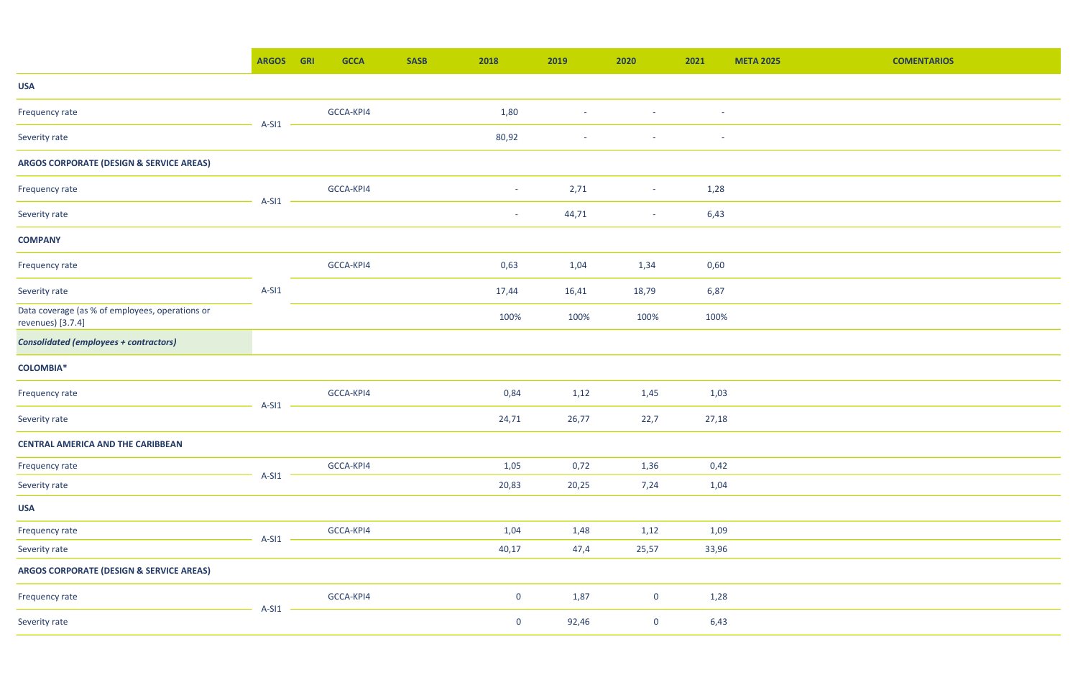|                                                                      | <b>ARGOS</b> | <b>GRI</b> | <b>GCCA</b> | <b>SASB</b> | 2018           | 2019   | 2020           | 2021                     | <b>META 2025</b> | <b>COMENTARIOS</b> |
|----------------------------------------------------------------------|--------------|------------|-------------|-------------|----------------|--------|----------------|--------------------------|------------------|--------------------|
| <b>USA</b>                                                           |              |            |             |             |                |        |                |                          |                  |                    |
| Frequency rate                                                       |              |            | GCCA-KPI4   |             | 1,80           |        | $\sim$         | $\overline{\phantom{a}}$ |                  |                    |
| Severity rate                                                        | $A-SI1$      |            |             |             | 80,92          | $\sim$ | $\sim$         | $\sim$                   |                  |                    |
| <b>ARGOS CORPORATE (DESIGN &amp; SERVICE AREAS)</b>                  |              |            |             |             |                |        |                |                          |                  |                    |
| Frequency rate                                                       |              |            | GCCA-KPI4   |             | $\sim$         | 2,71   | $\sim$         | 1,28                     |                  |                    |
| Severity rate                                                        | $A-SI1$      |            |             |             | $\sim$         | 44,71  | $\sim$         | 6,43                     |                  |                    |
| <b>COMPANY</b>                                                       |              |            |             |             |                |        |                |                          |                  |                    |
| Frequency rate                                                       |              |            | GCCA-KPI4   |             | 0,63           | 1,04   | 1,34           | 0,60                     |                  |                    |
| Severity rate                                                        | $A-SI1$      |            |             |             | 17,44          | 16,41  | 18,79          | 6,87                     |                  |                    |
| Data coverage (as % of employees, operations or<br>revenues) [3.7.4] |              |            |             |             | 100%           | 100%   | 100%           | 100%                     |                  |                    |
| <b>Consolidated (employees + contractors)</b>                        |              |            |             |             |                |        |                |                          |                  |                    |
| <b>COLOMBIA*</b>                                                     |              |            |             |             |                |        |                |                          |                  |                    |
| Frequency rate                                                       |              |            | GCCA-KPI4   |             | 0,84           | 1,12   | 1,45           | 1,03                     |                  |                    |
| Severity rate                                                        | $A-SI1$      |            |             |             | 24,71          | 26,77  | 22,7           | 27,18                    |                  |                    |
| <b>CENTRAL AMERICA AND THE CARIBBEAN</b>                             |              |            |             |             |                |        |                |                          |                  |                    |
| Frequency rate                                                       |              |            | GCCA-KPI4   |             | 1,05           | 0,72   | 1,36           | 0,42                     |                  |                    |
| Severity rate                                                        | $A-SI1$      |            |             |             | 20,83          | 20,25  | 7,24           | 1,04                     |                  |                    |
| <b>USA</b>                                                           |              |            |             |             |                |        |                |                          |                  |                    |
| Frequency rate                                                       |              |            | GCCA-KPI4   |             | 1,04           | 1,48   | 1,12           | 1,09                     |                  |                    |
| Severity rate                                                        | $A-SI1$      |            |             |             | 40,17          | 47,4   | 25,57          | 33,96                    |                  |                    |
| <b>ARGOS CORPORATE (DESIGN &amp; SERVICE AREAS)</b>                  |              |            |             |             |                |        |                |                          |                  |                    |
| Frequency rate                                                       |              |            | GCCA-KPI4   |             | $\mathbf 0$    | 1,87   | $\overline{0}$ | 1,28                     |                  |                    |
| Severity rate                                                        | $A-SI1$      |            |             |             | $\overline{0}$ | 92,46  | $\mathbf 0$    | 6,43                     |                  |                    |

| <b>COMENTARIOS</b> |
|--------------------|
|                    |
|                    |
|                    |
|                    |
|                    |
|                    |
|                    |
|                    |
|                    |
|                    |
|                    |
|                    |
|                    |
|                    |
|                    |
|                    |
|                    |
|                    |
|                    |
|                    |
|                    |
|                    |
|                    |